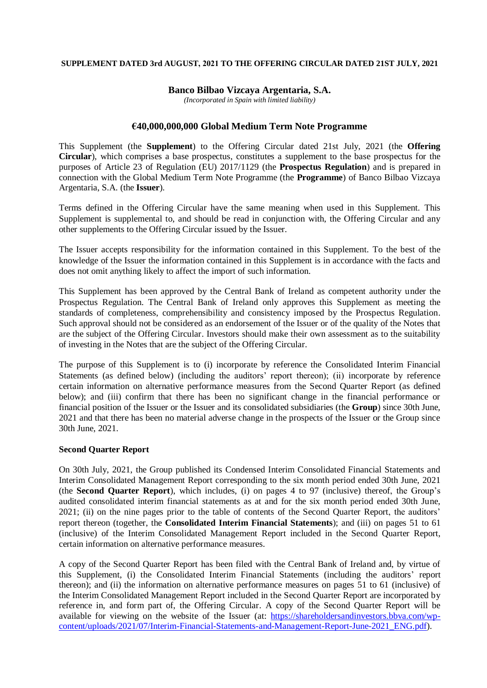## **SUPPLEMENT DATED 3rd AUGUST, 2021 TO THE OFFERING CIRCULAR DATED 21ST JULY, 2021**

## **Banco Bilbao Vizcaya Argentaria, S.A.**

*(Incorporated in Spain with limited liability)*

## **€40,000,000,000 Global Medium Term Note Programme**

This Supplement (the **Supplement**) to the Offering Circular dated 21st July, 2021 (the **Offering Circular**), which comprises a base prospectus, constitutes a supplement to the base prospectus for the purposes of Article 23 of Regulation (EU) 2017/1129 (the **Prospectus Regulation**) and is prepared in connection with the Global Medium Term Note Programme (the **Programme**) of Banco Bilbao Vizcaya Argentaria, S.A. (the **Issuer**).

Terms defined in the Offering Circular have the same meaning when used in this Supplement. This Supplement is supplemental to, and should be read in conjunction with, the Offering Circular and any other supplements to the Offering Circular issued by the Issuer.

The Issuer accepts responsibility for the information contained in this Supplement. To the best of the knowledge of the Issuer the information contained in this Supplement is in accordance with the facts and does not omit anything likely to affect the import of such information.

This Supplement has been approved by the Central Bank of Ireland as competent authority under the Prospectus Regulation. The Central Bank of Ireland only approves this Supplement as meeting the standards of completeness, comprehensibility and consistency imposed by the Prospectus Regulation. Such approval should not be considered as an endorsement of the Issuer or of the quality of the Notes that are the subject of the Offering Circular. Investors should make their own assessment as to the suitability of investing in the Notes that are the subject of the Offering Circular.

The purpose of this Supplement is to (i) incorporate by reference the Consolidated Interim Financial Statements (as defined below) (including the auditors' report thereon); (ii) incorporate by reference certain information on alternative performance measures from the Second Quarter Report (as defined below); and (iii) confirm that there has been no significant change in the financial performance or financial position of the Issuer or the Issuer and its consolidated subsidiaries (the **Group**) since 30th June, 2021 and that there has been no material adverse change in the prospects of the Issuer or the Group since 30th June, 2021.

#### **Second Quarter Report**

On 30th July, 2021, the Group published its Condensed Interim Consolidated Financial Statements and Interim Consolidated Management Report corresponding to the six month period ended 30th June, 2021 (the **Second Quarter Report**), which includes, (i) on pages 4 to 97 (inclusive) thereof, the Group's audited consolidated interim financial statements as at and for the six month period ended 30th June, 2021; (ii) on the nine pages prior to the table of contents of the Second Quarter Report, the auditors' report thereon (together, the **Consolidated Interim Financial Statements**); and (iii) on pages 51 to 61 (inclusive) of the Interim Consolidated Management Report included in the Second Quarter Report, certain information on alternative performance measures.

A copy of the Second Quarter Report has been filed with the Central Bank of Ireland and, by virtue of this Supplement, (i) the Consolidated Interim Financial Statements (including the auditors' report thereon); and (ii) the information on alternative performance measures on pages 51 to 61 (inclusive) of the Interim Consolidated Management Report included in the Second Quarter Report are incorporated by reference in, and form part of, the Offering Circular. A copy of the Second Quarter Report will be available for viewing on the website of the Issuer (at: [https://shareholdersandinvestors.bbva.com/wp](https://shareholdersandinvestors.bbva.com/wp-content/uploads/2021/07/Interim-Financial-Statements-and-Management-Report-June-2021_ENG.pdf)[content/uploads/2021/07/Interim-Financial-Statements-and-Management-Report-June-2021\\_ENG.pdf\)](https://shareholdersandinvestors.bbva.com/wp-content/uploads/2021/07/Interim-Financial-Statements-and-Management-Report-June-2021_ENG.pdf).